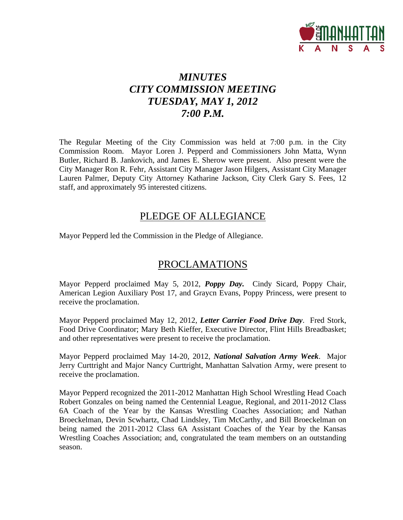

### *MINUTES CITY COMMISSION MEETING TUESDAY, MAY 1, 2012 7:00 P.M.*

The Regular Meeting of the City Commission was held at 7:00 p.m. in the City Commission Room. Mayor Loren J. Pepperd and Commissioners John Matta, Wynn Butler, Richard B. Jankovich, and James E. Sherow were present. Also present were the City Manager Ron R. Fehr, Assistant City Manager Jason Hilgers, Assistant City Manager Lauren Palmer, Deputy City Attorney Katharine Jackson, City Clerk Gary S. Fees, 12 staff, and approximately 95 interested citizens.

### PLEDGE OF ALLEGIANCE

Mayor Pepperd led the Commission in the Pledge of Allegiance.

### PROCLAMATIONS

Mayor Pepperd proclaimed May 5, 2012, *Poppy Day.* Cindy Sicard, Poppy Chair, American Legion Auxiliary Post 17, and Graycn Evans, Poppy Princess, were present to receive the proclamation.

Mayor Pepperd proclaimed May 12, 2012, *Letter Carrier Food Drive Day*. Fred Stork, Food Drive Coordinator; Mary Beth Kieffer, Executive Director, Flint Hills Breadbasket; and other representatives were present to receive the proclamation.

Mayor Pepperd proclaimed May 14-20, 2012, *National Salvation Army Week*. Major Jerry Curttright and Major Nancy Curttright, Manhattan Salvation Army, were present to receive the proclamation.

Mayor Pepperd recognized the 2011-2012 Manhattan High School Wrestling Head Coach Robert Gonzales on being named the Centennial League, Regional, and 2011-2012 Class 6A Coach of the Year by the Kansas Wrestling Coaches Association; and Nathan Broeckelman, Devin Scwhartz, Chad Lindsley, Tim McCarthy, and Bill Broeckelman on being named the 2011-2012 Class 6A Assistant Coaches of the Year by the Kansas Wrestling Coaches Association; and, congratulated the team members on an outstanding season.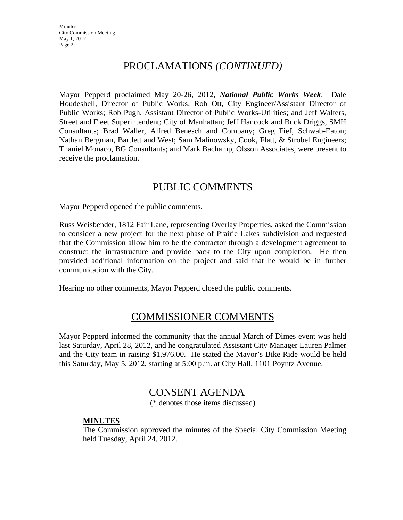**Minutes** City Commission Meeting May 1, 2012 Page 2

### PROCLAMATIONS *(CONTINUED)*

Mayor Pepperd proclaimed May 20-26, 2012, *National Public Works Week*. Dale Houdeshell, Director of Public Works; Rob Ott, City Engineer/Assistant Director of Public Works; Rob Pugh, Assistant Director of Public Works-Utilities; and Jeff Walters, Street and Fleet Superintendent; City of Manhattan; Jeff Hancock and Buck Driggs, SMH Consultants; Brad Waller, Alfred Benesch and Company; Greg Fief, Schwab-Eaton; Nathan Bergman, Bartlett and West; Sam Malinowsky, Cook, Flatt, & Strobel Engineers; Thaniel Monaco, BG Consultants; and Mark Bachamp, Olsson Associates, were present to receive the proclamation.

### PUBLIC COMMENTS

Mayor Pepperd opened the public comments.

Russ Weisbender, 1812 Fair Lane, representing Overlay Properties, asked the Commission to consider a new project for the next phase of Prairie Lakes subdivision and requested that the Commission allow him to be the contractor through a development agreement to construct the infrastructure and provide back to the City upon completion. He then provided additional information on the project and said that he would be in further communication with the City.

Hearing no other comments, Mayor Pepperd closed the public comments.

### COMMISSIONER COMMENTS

Mayor Pepperd informed the community that the annual March of Dimes event was held last Saturday, April 28, 2012, and he congratulated Assistant City Manager Lauren Palmer and the City team in raising \$1,976.00. He stated the Mayor's Bike Ride would be held this Saturday, May 5, 2012, starting at 5:00 p.m. at City Hall, 1101 Poyntz Avenue.

### CONSENT AGENDA

(\* denotes those items discussed)

#### **MINUTES**

The Commission approved the minutes of the Special City Commission Meeting held Tuesday, April 24, 2012.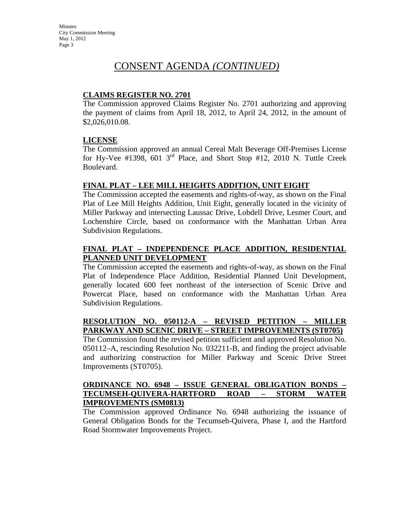#### **CLAIMS REGISTER NO. 2701**

The Commission approved Claims Register No. 2701 authorizing and approving the payment of claims from April 18, 2012, to April 24, 2012, in the amount of \$2,026,010.08.

#### **LICENSE**

The Commission approved an annual Cereal Malt Beverage Off-Premises License for Hy-Vee #1398, 601  $3<sup>rd</sup>$  Place, and Short Stop #12, 2010 N. Tuttle Creek Boulevard.

#### **FINAL PLAT – LEE MILL HEIGHTS ADDITION, UNIT EIGHT**

The Commission accepted the easements and rights-of-way, as shown on the Final Plat of Lee Mill Heights Addition, Unit Eight, generally located in the vicinity of Miller Parkway and intersecting Laussac Drive, Lobdell Drive, Lesmer Court, and Lochenshire Circle, based on conformance with the Manhattan Urban Area Subdivision Regulations.

#### **FINAL PLAT – INDEPENDENCE PLACE ADDITION, RESIDENTIAL PLANNED UNIT DEVELOPMENT**

The Commission accepted the easements and rights-of-way, as shown on the Final Plat of Independence Place Addition, Residential Planned Unit Development, generally located 600 feet northeast of the intersection of Scenic Drive and Powercat Place, based on conformance with the Manhattan Urban Area Subdivision Regulations.

#### **RESOLUTION NO. 050112-A – REVISED PETITION – MILLER PARKWAY AND SCENIC DRIVE – STREET IMPROVEMENTS (ST0705)**

The Commission found the revised petition sufficient and approved Resolution No. 050112–A, rescinding Resolution No. 032211-B, and finding the project advisable and authorizing construction for Miller Parkway and Scenic Drive Street Improvements (ST0705).

#### **ORDINANCE NO. 6948 – ISSUE GENERAL OBLIGATION BONDS – TECUMSEH-QUIVERA-HARTFORD ROAD – STORM WATER IMPROVEMENTS (SM0813)**

The Commission approved Ordinance No. 6948 authorizing the issuance of General Obligation Bonds for the Tecumseh-Quivera, Phase I, and the Hartford Road Stormwater Improvements Project.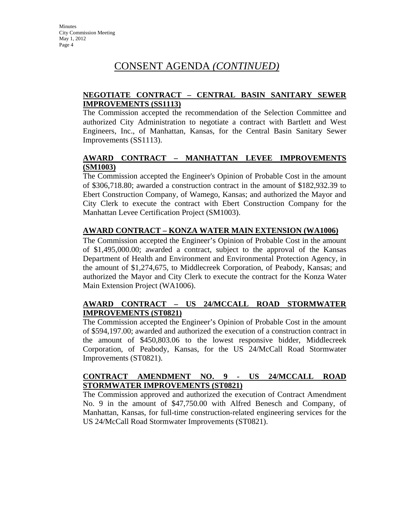#### **NEGOTIATE CONTRACT – CENTRAL BASIN SANITARY SEWER IMPROVEMENTS (SS1113)**

The Commission accepted the recommendation of the Selection Committee and authorized City Administration to negotiate a contract with Bartlett and West Engineers, Inc., of Manhattan, Kansas, for the Central Basin Sanitary Sewer Improvements (SS1113).

#### **AWARD CONTRACT – MANHATTAN LEVEE IMPROVEMENTS (SM1003)**

The Commission accepted the Engineer's Opinion of Probable Cost in the amount of \$306,718.80; awarded a construction contract in the amount of \$182,932.39 to Ebert Construction Company, of Wamego, Kansas; and authorized the Mayor and City Clerk to execute the contract with Ebert Construction Company for the Manhattan Levee Certification Project (SM1003).

#### **AWARD CONTRACT – KONZA WATER MAIN EXTENSION (WA1006)**

The Commission accepted the Engineer's Opinion of Probable Cost in the amount of \$1,495,000.00; awarded a contract, subject to the approval of the Kansas Department of Health and Environment and Environmental Protection Agency, in the amount of \$1,274,675, to Middlecreek Corporation, of Peabody, Kansas; and authorized the Mayor and City Clerk to execute the contract for the Konza Water Main Extension Project (WA1006).

#### **AWARD CONTRACT – US 24/MCCALL ROAD STORMWATER IMPROVEMENTS (ST0821)**

The Commission accepted the Engineer's Opinion of Probable Cost in the amount of \$594,197.00; awarded and authorized the execution of a construction contract in the amount of \$450,803.06 to the lowest responsive bidder, Middlecreek Corporation, of Peabody, Kansas, for the US 24/McCall Road Stormwater Improvements (ST0821).

#### **CONTRACT AMENDMENT NO. 9 - US 24/MCCALL ROAD STORMWATER IMPROVEMENTS (ST0821)**

The Commission approved and authorized the execution of Contract Amendment No. 9 in the amount of \$47,750.00 with Alfred Benesch and Company, of Manhattan, Kansas, for full-time construction-related engineering services for the US 24/McCall Road Stormwater Improvements (ST0821).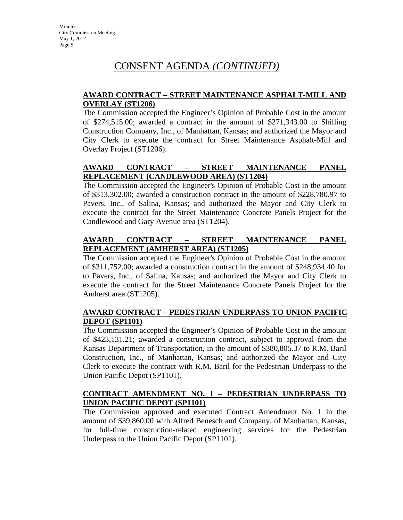#### **AWARD CONTRACT – STREET MAINTENANCE ASPHALT-MILL AND OVERLAY (ST1206)**

The Commission accepted the Engineer's Opinion of Probable Cost in the amount of \$274,515.00; awarded a contract in the amount of \$271,343.00 to Shilling Construction Company, Inc., of Manhattan, Kansas; and authorized the Mayor and City Clerk to execute the contract for Street Maintenance Asphalt-Mill and Overlay Project (ST1206).

#### **AWARD CONTRACT – STREET MAINTENANCE PANEL REPLACEMENT (CANDLEWOOD AREA) (ST1204)**

The Commission accepted the Engineer's Opinion of Probable Cost in the amount of \$313,302.00; awarded a construction contract in the amount of \$228,780.97 to Pavers, Inc., of Salina, Kansas; and authorized the Mayor and City Clerk to execute the contract for the Street Maintenance Concrete Panels Project for the Candlewood and Gary Avenue area (ST1204).

#### **AWARD CONTRACT – STREET MAINTENANCE PANEL REPLACEMENT (AMHERST AREA) (ST1205)**

The Commission accepted the Engineer's Opinion of Probable Cost in the amount of \$311,752.00; awarded a construction contract in the amount of \$248,934.40 for to Pavers, Inc., of Salina, Kansas; and authorized the Mayor and City Clerk to execute the contract for the Street Maintenance Concrete Panels Project for the Amherst area (ST1205).

#### **AWARD CONTRACT – PEDESTRIAN UNDERPASS TO UNION PACIFIC DEPOT (SP1101)**

The Commission accepted the Engineer's Opinion of Probable Cost in the amount of \$423,131.21; awarded a construction contract, subject to approval from the Kansas Department of Transportation, in the amount of \$380,805.37 to R.M. Baril Construction, Inc., of Manhattan, Kansas; and authorized the Mayor and City Clerk to execute the contract with R.M. Baril for the Pedestrian Underpass to the Union Pacific Depot (SP1101).

#### **CONTRACT AMENDMENT NO. 1 – PEDESTRIAN UNDERPASS TO UNION PACIFIC DEPOT (SP1101)**

The Commission approved and executed Contract Amendment No. 1 in the amount of \$39,860.00 with Alfred Benesch and Company, of Manhattan, Kansas, for full-time construction-related engineering services for the Pedestrian Underpass to the Union Pacific Depot (SP1101).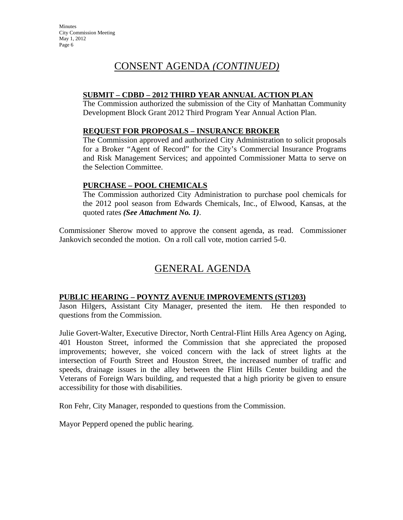#### **SUBMIT – CDBD – 2012 THIRD YEAR ANNUAL ACTION PLAN**

The Commission authorized the submission of the City of Manhattan Community Development Block Grant 2012 Third Program Year Annual Action Plan.

#### **REQUEST FOR PROPOSALS – INSURANCE BROKER**

The Commission approved and authorized City Administration to solicit proposals for a Broker "Agent of Record" for the City's Commercial Insurance Programs and Risk Management Services; and appointed Commissioner Matta to serve on the Selection Committee.

#### **PURCHASE – POOL CHEMICALS**

The Commission authorized City Administration to purchase pool chemicals for the 2012 pool season from Edwards Chemicals, Inc., of Elwood, Kansas, at the quoted rates *(See Attachment No. 1)*.

Commissioner Sherow moved to approve the consent agenda, as read. Commissioner Jankovich seconded the motion. On a roll call vote, motion carried 5-0.

### GENERAL AGENDA

#### **PUBLIC HEARING – POYNTZ AVENUE IMPROVEMENTS (ST1203)**

Jason Hilgers, Assistant City Manager, presented the item. He then responded to questions from the Commission.

Julie Govert-Walter, Executive Director, North Central-Flint Hills Area Agency on Aging, 401 Houston Street, informed the Commission that she appreciated the proposed improvements; however, she voiced concern with the lack of street lights at the intersection of Fourth Street and Houston Street, the increased number of traffic and speeds, drainage issues in the alley between the Flint Hills Center building and the Veterans of Foreign Wars building, and requested that a high priority be given to ensure accessibility for those with disabilities.

Ron Fehr, City Manager, responded to questions from the Commission.

Mayor Pepperd opened the public hearing.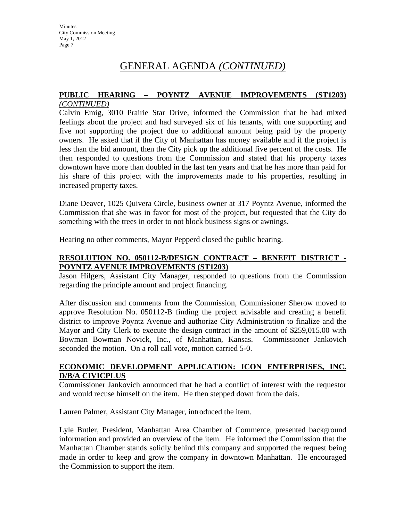# **PUBLIC HEARING – POYNTZ AVENUE IMPROVEMENTS (ST1203)**

#### *(CONTINUED)*

Calvin Emig, 3010 Prairie Star Drive, informed the Commission that he had mixed feelings about the project and had surveyed six of his tenants, with one supporting and five not supporting the project due to additional amount being paid by the property owners. He asked that if the City of Manhattan has money available and if the project is less than the bid amount, then the City pick up the additional five percent of the costs. He then responded to questions from the Commission and stated that his property taxes downtown have more than doubled in the last ten years and that he has more than paid for his share of this project with the improvements made to his properties, resulting in increased property taxes.

Diane Deaver, 1025 Quivera Circle, business owner at 317 Poyntz Avenue, informed the Commission that she was in favor for most of the project, but requested that the City do something with the trees in order to not block business signs or awnings.

Hearing no other comments, Mayor Pepperd closed the public hearing.

#### **RESOLUTION NO. 050112-B/DESIGN CONTRACT – BENEFIT DISTRICT - POYNTZ AVENUE IMPROVEMENTS (ST1203)**

Jason Hilgers, Assistant City Manager, responded to questions from the Commission regarding the principle amount and project financing.

After discussion and comments from the Commission, Commissioner Sherow moved to approve Resolution No. 050112-B finding the project advisable and creating a benefit district to improve Poyntz Avenue and authorize City Administration to finalize and the Mayor and City Clerk to execute the design contract in the amount of \$259,015.00 with Bowman Bowman Novick, Inc., of Manhattan, Kansas. Commissioner Jankovich seconded the motion. On a roll call vote, motion carried 5-0.

#### **ECONOMIC DEVELOPMENT APPLICATION: ICON ENTERPRISES, INC. D/B/A CIVICPLUS**

Commissioner Jankovich announced that he had a conflict of interest with the requestor and would recuse himself on the item. He then stepped down from the dais.

Lauren Palmer, Assistant City Manager, introduced the item.

Lyle Butler, President, Manhattan Area Chamber of Commerce, presented background information and provided an overview of the item. He informed the Commission that the Manhattan Chamber stands solidly behind this company and supported the request being made in order to keep and grow the company in downtown Manhattan. He encouraged the Commission to support the item.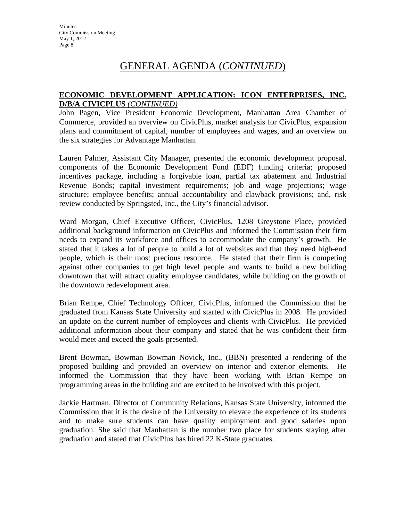#### **ECONOMIC DEVELOPMENT APPLICATION: ICON ENTERPRISES, INC. D/B/A CIVICPLUS** *(CONTINUED)*

John Pagen, Vice President Economic Development, Manhattan Area Chamber of Commerce, provided an overview on CivicPlus, market analysis for CivicPlus, expansion plans and commitment of capital, number of employees and wages, and an overview on the six strategies for Advantage Manhattan.

Lauren Palmer, Assistant City Manager, presented the economic development proposal, components of the Economic Development Fund (EDF) funding criteria; proposed incentives package, including a forgivable loan, partial tax abatement and Industrial Revenue Bonds; capital investment requirements; job and wage projections; wage structure; employee benefits; annual accountability and clawback provisions; and, risk review conducted by Springsted, Inc., the City's financial advisor.

Ward Morgan, Chief Executive Officer, CivicPlus, 1208 Greystone Place, provided additional background information on CivicPlus and informed the Commission their firm needs to expand its workforce and offices to accommodate the company's growth. He stated that it takes a lot of people to build a lot of websites and that they need high-end people, which is their most precious resource. He stated that their firm is competing against other companies to get high level people and wants to build a new building downtown that will attract quality employee candidates, while building on the growth of the downtown redevelopment area.

Brian Rempe, Chief Technology Officer, CivicPlus, informed the Commission that he graduated from Kansas State University and started with CivicPlus in 2008. He provided an update on the current number of employees and clients with CivicPlus. He provided additional information about their company and stated that he was confident their firm would meet and exceed the goals presented.

Brent Bowman, Bowman Bowman Novick, Inc., (BBN) presented a rendering of the proposed building and provided an overview on interior and exterior elements. He informed the Commission that they have been working with Brian Rempe on programming areas in the building and are excited to be involved with this project.

Jackie Hartman, Director of Community Relations, Kansas State University, informed the Commission that it is the desire of the University to elevate the experience of its students and to make sure students can have quality employment and good salaries upon graduation. She said that Manhattan is the number two place for students staying after graduation and stated that CivicPlus has hired 22 K-State graduates.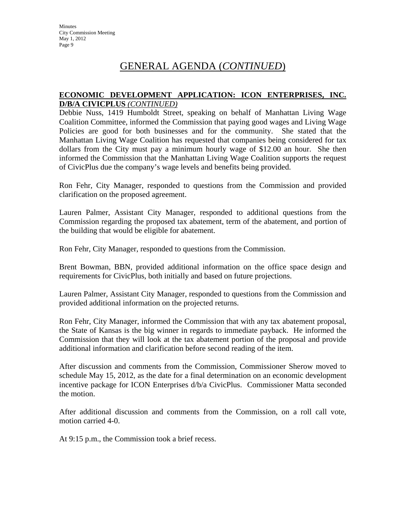#### **ECONOMIC DEVELOPMENT APPLICATION: ICON ENTERPRISES, INC. D/B/A CIVICPLUS** *(CONTINUED)*

Debbie Nuss, 1419 Humboldt Street, speaking on behalf of Manhattan Living Wage Coalition Committee, informed the Commission that paying good wages and Living Wage Policies are good for both businesses and for the community. She stated that the Manhattan Living Wage Coalition has requested that companies being considered for tax dollars from the City must pay a minimum hourly wage of \$12.00 an hour. She then informed the Commission that the Manhattan Living Wage Coalition supports the request of CivicPlus due the company's wage levels and benefits being provided.

Ron Fehr, City Manager, responded to questions from the Commission and provided clarification on the proposed agreement.

Lauren Palmer, Assistant City Manager, responded to additional questions from the Commission regarding the proposed tax abatement, term of the abatement, and portion of the building that would be eligible for abatement.

Ron Fehr, City Manager, responded to questions from the Commission.

Brent Bowman, BBN, provided additional information on the office space design and requirements for CivicPlus, both initially and based on future projections.

Lauren Palmer, Assistant City Manager, responded to questions from the Commission and provided additional information on the projected returns.

Ron Fehr, City Manager, informed the Commission that with any tax abatement proposal, the State of Kansas is the big winner in regards to immediate payback. He informed the Commission that they will look at the tax abatement portion of the proposal and provide additional information and clarification before second reading of the item.

After discussion and comments from the Commission, Commissioner Sherow moved to schedule May 15, 2012, as the date for a final determination on an economic development incentive package for ICON Enterprises d/b/a CivicPlus. Commissioner Matta seconded the motion.

After additional discussion and comments from the Commission, on a roll call vote, motion carried 4-0.

At 9:15 p.m., the Commission took a brief recess.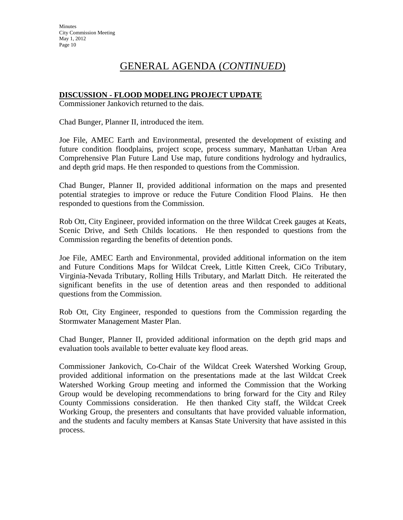#### **DISCUSSION - FLOOD MODELING PROJECT UPDATE**

Commissioner Jankovich returned to the dais.

Chad Bunger, Planner II, introduced the item.

Joe File, AMEC Earth and Environmental, presented the development of existing and future condition floodplains, project scope, process summary, Manhattan Urban Area Comprehensive Plan Future Land Use map, future conditions hydrology and hydraulics, and depth grid maps. He then responded to questions from the Commission.

Chad Bunger, Planner II, provided additional information on the maps and presented potential strategies to improve or reduce the Future Condition Flood Plains. He then responded to questions from the Commission.

Rob Ott, City Engineer, provided information on the three Wildcat Creek gauges at Keats, Scenic Drive, and Seth Childs locations. He then responded to questions from the Commission regarding the benefits of detention ponds.

Joe File, AMEC Earth and Environmental, provided additional information on the item and Future Conditions Maps for Wildcat Creek, Little Kitten Creek, CiCo Tributary, Virginia-Nevada Tributary, Rolling Hills Tributary, and Marlatt Ditch. He reiterated the significant benefits in the use of detention areas and then responded to additional questions from the Commission.

Rob Ott, City Engineer, responded to questions from the Commission regarding the Stormwater Management Master Plan.

Chad Bunger, Planner II, provided additional information on the depth grid maps and evaluation tools available to better evaluate key flood areas.

Commissioner Jankovich, Co-Chair of the Wildcat Creek Watershed Working Group, provided additional information on the presentations made at the last Wildcat Creek Watershed Working Group meeting and informed the Commission that the Working Group would be developing recommendations to bring forward for the City and Riley County Commissions consideration. He then thanked City staff, the Wildcat Creek Working Group, the presenters and consultants that have provided valuable information, and the students and faculty members at Kansas State University that have assisted in this process.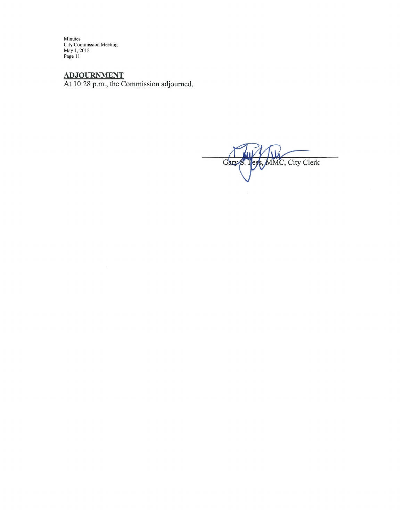Minutes<br>City Commission Meeting<br>May 1, 2012<br>Page 11

ADJOURNMENT<br>At 10:28 p.m., the Commission adjourned.

MMC, City Clerk Gary